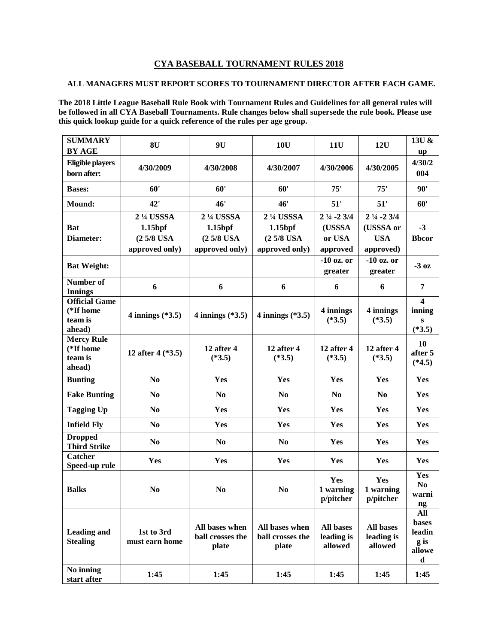# **CYA BASEBALL TOURNAMENT RULES 2018**

#### **ALL MANAGERS MUST REPORT SCORES TO TOURNAMENT DIRECTOR AFTER EACH GAME.**

**The 2018 Little League Baseball Rule Book with Tournament Rules and Guidelines for all general rules will be followed in all CYA Baseball Tournaments. Rule changes below shall supersede the rule book. Please use this quick lookup guide for a quick reference of the rules per age group.**

| <b>SUMMARY</b><br><b>BY AGE</b>                        | 8U                                                               | 9U                                                                 | 10U                                                               | 11U                                                           | <b>12U</b>                                                            | 13U &<br>up                                                  |
|--------------------------------------------------------|------------------------------------------------------------------|--------------------------------------------------------------------|-------------------------------------------------------------------|---------------------------------------------------------------|-----------------------------------------------------------------------|--------------------------------------------------------------|
| Eligible players<br>born after:                        | 4/30/2009                                                        | 4/30/2008                                                          | 4/30/2007                                                         | 4/30/2006                                                     | 4/30/2005                                                             | 4/30/2<br>004                                                |
| <b>Bases:</b>                                          | 60'                                                              | 60'                                                                | 60'                                                               | 75'                                                           | 75'                                                                   | 90'                                                          |
| Mound:                                                 | 42'                                                              | 46'                                                                | 46'                                                               | 51'                                                           | 51'                                                                   | 60'                                                          |
| <b>Bat</b><br>Diameter:                                | 2 1/4 USSSA<br>1.15 <sub>bf</sub><br>(25/8 USA<br>approved only) | 2 1/4 USSSA<br>1.15 <sub>bf</sub><br>$(25/8$ USA<br>approved only) | 2 1/4 USSSA<br>1.15 <sub>bf</sub><br>(2 5/8 USA<br>approved only) | $2\frac{1}{4} - 2\frac{3}{4}$<br>(USSSA<br>or USA<br>approved | $2\frac{1}{4} - 2\frac{3}{4}$<br>(USSSA or<br><b>USA</b><br>approved) | $-3$<br><b>Bbcor</b>                                         |
| <b>Bat Weight:</b>                                     |                                                                  |                                                                    |                                                                   | $-10$ oz. or<br>greater                                       | $-10$ oz. or<br>greater                                               | $-3$ oz                                                      |
| Number of<br><b>Innings</b>                            | 6                                                                | 6                                                                  | 6                                                                 | 6                                                             | 6                                                                     | 7                                                            |
| <b>Official Game</b><br>(*If home<br>team is<br>ahead) | 4 innings $(*3.5)$                                               | 4 innings $(*3.5)$                                                 | 4 innings $(*3.5)$                                                | 4 innings<br>$(*3.5)$                                         | 4 innings<br>$(*3.5)$                                                 | $\overline{\mathbf{4}}$<br>inning<br>S<br>$(*3.5)$           |
| <b>Mercy Rule</b><br>(*If home<br>team is<br>ahead)    | 12 after 4 (*3.5)                                                | 12 after 4<br>$(*3.5)$                                             | 12 after 4<br>$(*3.5)$                                            | 12 after 4<br>$(*3.5)$                                        | 12 after 4<br>$(*3.5)$                                                | 10<br>after 5<br>$(*4.5)$                                    |
| <b>Bunting</b>                                         | N <sub>0</sub>                                                   | Yes                                                                | Yes                                                               | Yes                                                           | <b>Yes</b>                                                            | Yes                                                          |
| <b>Fake Bunting</b>                                    | N <sub>0</sub>                                                   | N <sub>0</sub>                                                     | N <sub>0</sub>                                                    | N <sub>0</sub>                                                | N <sub>0</sub>                                                        | Yes                                                          |
| <b>Tagging Up</b>                                      | N <sub>0</sub>                                                   | Yes                                                                | Yes                                                               | Yes                                                           | Yes                                                                   | Yes                                                          |
| <b>Infield Fly</b>                                     | N <sub>0</sub>                                                   | Yes                                                                | Yes                                                               | Yes                                                           | Yes                                                                   | Yes                                                          |
| <b>Dropped</b><br><b>Third Strike</b>                  | N <sub>0</sub>                                                   | N <sub>0</sub>                                                     | N <sub>0</sub>                                                    | <b>Yes</b>                                                    | Yes                                                                   | Yes                                                          |
| Catcher<br>Speed-up rule                               | Yes                                                              | Yes                                                                | Yes                                                               | Yes                                                           | Yes                                                                   | Yes                                                          |
| <b>Balks</b>                                           | N <sub>0</sub>                                                   | N <sub>0</sub>                                                     | N <sub>0</sub>                                                    | Yes<br>1 warning<br>p/pitcher                                 | Yes<br>1 warning<br>p/pitcher                                         | Yes<br>N <sub>0</sub><br>warni<br>$\boldsymbol{\mathsf{ng}}$ |
| <b>Leading and</b><br><b>Stealing</b>                  | 1st to 3rd<br>must earn home                                     | All bases when<br>ball crosses the<br>plate                        | All bases when<br>ball crosses the<br>plate                       | <b>All bases</b><br>leading is<br>allowed                     | <b>All bases</b><br>leading is<br>allowed                             | All<br><b>bases</b><br>leadin<br>g is<br>allowe<br>d         |
| No inning<br>start after                               | 1:45                                                             | 1:45                                                               | 1:45                                                              | 1:45                                                          | 1:45                                                                  | 1:45                                                         |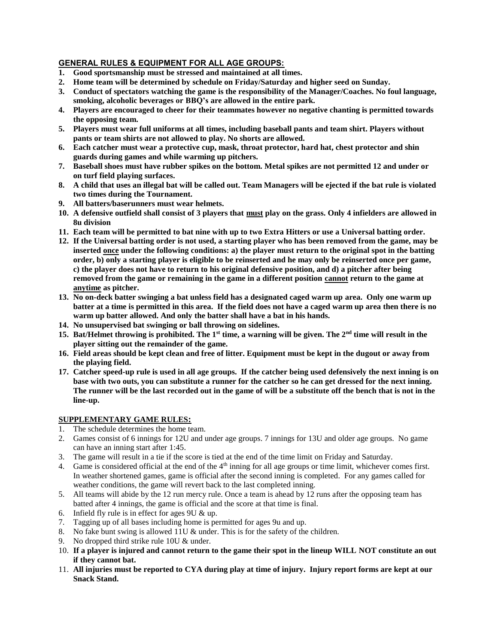# **GENERAL RULES & EQUIPMENT FOR ALL AGE GROUPS:**

- **1. Good sportsmanship must be stressed and maintained at all times.**
- **2. Home team will be determined by schedule on Friday/Saturday and higher seed on Sunday.**
- **3. Conduct of spectators watching the game is the responsibility of the Manager/Coaches. No foul language, smoking, alcoholic beverages or BBQ's are allowed in the entire park.**
- **4. Players are encouraged to cheer for their teammates however no negative chanting is permitted towards the opposing team.**
- **5. Players must wear full uniforms at all times, including baseball pants and team shirt. Players without pants or team shirts are not allowed to play. No shorts are allowed.**
- **6. Each catcher must wear a protective cup, mask, throat protector, hard hat, chest protector and shin guards during games and while warming up pitchers.**
- **7. Baseball shoes must have rubber spikes on the bottom. Metal spikes are not permitted 12 and under or on turf field playing surfaces.**
- **8. A child that uses an illegal bat will be called out. Team Managers will be ejected if the bat rule is violated two times during the Tournament.**
- **9. All batters/baserunners must wear helmets.**
- **10. A defensive outfield shall consist of 3 players that must play on the grass. Only 4 infielders are allowed in 8u division**
- **11. Each team will be permitted to bat nine with up to two Extra Hitters or use a Universal batting order.**
- **12. If the Universal batting order is not used, a starting player who has been removed from the game, may be inserted once under the following conditions: a) the player must return to the original spot in the batting order, b) only a starting player is eligible to be reinserted and he may only be reinserted once per game, c) the player does not have to return to his original defensive position, and d) a pitcher after being removed from the game or remaining in the game in a different position cannot return to the game at anytime as pitcher.**
- **13. No on-deck batter swinging a bat unless field has a designated caged warm up area. Only one warm up batter at a time is permitted in this area. If the field does not have a caged warm up area then there is no warm up batter allowed. And only the batter shall have a bat in his hands.**
- **14. No unsupervised bat swinging or ball throwing on sidelines.**
- **15. Bat/Helmet throwing is prohibited. The 1st time, a warning will be given. The 2nd time will result in the player sitting out the remainder of the game.**
- **16. Field areas should be kept clean and free of litter. Equipment must be kept in the dugout or away from the playing field.**
- **17. Catcher speed-up rule is used in all age groups. If the catcher being used defensively the next inning is on base with two outs, you can substitute a runner for the catcher so he can get dressed for the next inning. The runner will be the last recorded out in the game of will be a substitute off the bench that is not in the line-up.**

### **SUPPLEMENTARY GAME RULES:**

- 1. The schedule determines the home team.
- 2. Games consist of 6 innings for 12U and under age groups. 7 innings for 13U and older age groups. No game can have an inning start after 1:45.
- 3. The game will result in a tie if the score is tied at the end of the time limit on Friday and Saturday.
- 4. Game is considered official at the end of the  $4<sup>th</sup>$  inning for all age groups or time limit, whichever comes first. In weather shortened games, game is official after the second inning is completed. For any games called for weather conditions, the game will revert back to the last completed inning.
- 5. All teams will abide by the 12 run mercy rule. Once a team is ahead by 12 runs after the opposing team has batted after 4 innings, the game is official and the score at that time is final.
- 6. Infield fly rule is in effect for ages 9U & up.
- 7. Tagging up of all bases including home is permitted for ages 9u and up.
- 8. No fake bunt swing is allowed 11U & under. This is for the safety of the children.
- 9. No dropped third strike rule 10U & under.
- 10. **If a player is injured and cannot return to the game their spot in the lineup WILL NOT constitute an out if they cannot bat.**
- 11. **All injuries must be reported to CYA during play at time of injury. Injury report forms are kept at our Snack Stand.**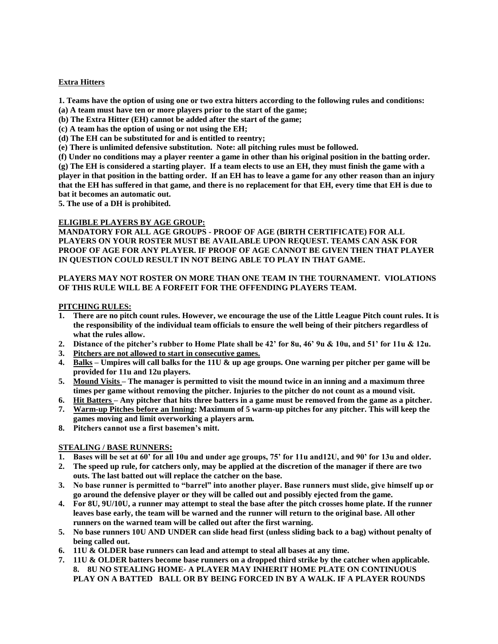#### **Extra Hitters**

**1. Teams have the option of using one or two extra hitters according to the following rules and conditions:** 

- **(a) A team must have ten or more players prior to the start of the game;**
- **(b) The Extra Hitter (EH) cannot be added after the start of the game;**
- **(c) A team has the option of using or not using the EH;**
- **(d) The EH can be substituted for and is entitled to reentry;**
- **(e) There is unlimited defensive substitution. Note: all pitching rules must be followed.**

**(f) Under no conditions may a player reenter a game in other than his original position in the batting order. (g) The EH is considered a starting player. If a team elects to use an EH, they must finish the game with a player in that position in the batting order. If an EH has to leave a game for any other reason than an injury that the EH has suffered in that game, and there is no replacement for that EH, every time that EH is due to bat it becomes an automatic out.** 

**5. The use of a DH is prohibited.** 

#### **ELIGIBLE PLAYERS BY AGE GROUP:**

**MANDATORY FOR ALL AGE GROUPS - PROOF OF AGE (BIRTH CERTIFICATE) FOR ALL PLAYERS ON YOUR ROSTER MUST BE AVAILABLE UPON REQUEST. TEAMS CAN ASK FOR PROOF OF AGE FOR ANY PLAYER. IF PROOF OF AGE CANNOT BE GIVEN THEN THAT PLAYER IN QUESTION COULD RESULT IN NOT BEING ABLE TO PLAY IN THAT GAME.** 

#### **PLAYERS MAY NOT ROSTER ON MORE THAN ONE TEAM IN THE TOURNAMENT. VIOLATIONS OF THIS RULE WILL BE A FORFEIT FOR THE OFFENDING PLAYERS TEAM.**

#### **PITCHING RULES:**

- **1. There are no pitch count rules. However, we encourage the use of the Little League Pitch count rules. It is the responsibility of the individual team officials to ensure the well being of their pitchers regardless of what the rules allow.**
- **2. Distance of the pitcher's rubber to Home Plate shall be 42' for 8u, 46' 9u & 10u, and 51' for 11u & 12u.**
- **3. Pitchers are not allowed to start in consecutive games.**
- **4. Balks – Umpires will call balks for the 11U & up age groups. One warning per pitcher per game will be provided for 11u and 12u players.**
- **5. Mound Visits – The manager is permitted to visit the mound twice in an inning and a maximum three times per game without removing the pitcher. Injuries to the pitcher do not count as a mound visit.**
- **6. Hit Batters – Any pitcher that hits three batters in a game must be removed from the game as a pitcher.**
- **7. Warm-up Pitches before an Inning: Maximum of 5 warm-up pitches for any pitcher. This will keep the games moving and limit overworking a players arm.**
- **8. Pitchers cannot use a first basemen's mitt.**

### **STEALING / BASE RUNNERS:**

- **1. Bases will be set at 60' for all 10u and under age groups, 75' for 11u and12U, and 90' for 13u and older.**
- **2. The speed up rule, for catchers only, may be applied at the discretion of the manager if there are two outs. The last batted out will replace the catcher on the base.**
- **3. No base runner is permitted to "barrel" into another player. Base runners must slide, give himself up or go around the defensive player or they will be called out and possibly ejected from the game.**
- **4. For 8U, 9U/10U, a runner may attempt to steal the base after the pitch crosses home plate. If the runner leaves base early, the team will be warned and the runner will return to the original base. All other runners on the warned team will be called out after the first warning.**
- **5. No base runners 10U AND UNDER can slide head first (unless sliding back to a bag) without penalty of being called out.**
- **6. 11U & OLDER base runners can lead and attempt to steal all bases at any time.**
- **7. 11U & OLDER batters become base runners on a dropped third strike by the catcher when applicable. 8. 8U NO STEALING HOME- A PLAYER MAY INHERIT HOME PLATE ON CONTINUOUS PLAY ON A BATTED BALL OR BY BEING FORCED IN BY A WALK. IF A PLAYER ROUNDS**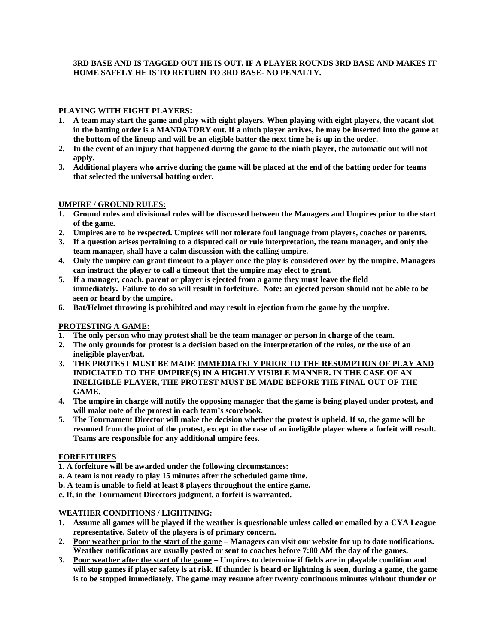## **3RD BASE AND IS TAGGED OUT HE IS OUT. IF A PLAYER ROUNDS 3RD BASE AND MAKES IT HOME SAFELY HE IS TO RETURN TO 3RD BASE- NO PENALTY.**

## **PLAYING WITH EIGHT PLAYERS:**

- **1. A team may start the game and play with eight players. When playing with eight players, the vacant slot in the batting order is a MANDATORY out. If a ninth player arrives, he may be inserted into the game at the bottom of the lineup and will be an eligible batter the next time he is up in the order.**
- **2. In the event of an injury that happened during the game to the ninth player, the automatic out will not apply.**
- **3. Additional players who arrive during the game will be placed at the end of the batting order for teams that selected the universal batting order.**

### **UMPIRE / GROUND RULES:**

- **1. Ground rules and divisional rules will be discussed between the Managers and Umpires prior to the start of the game.**
- **2. Umpires are to be respected. Umpires will not tolerate foul language from players, coaches or parents.**
- **3. If a question arises pertaining to a disputed call or rule interpretation, the team manager, and only the team manager, shall have a calm discussion with the calling umpire.**
- **4. Only the umpire can grant timeout to a player once the play is considered over by the umpire. Managers can instruct the player to call a timeout that the umpire may elect to grant.**
- **5. If a manager, coach, parent or player is ejected from a game they must leave the field immediately. Failure to do so will result in forfeiture. Note: an ejected person should not be able to be seen or heard by the umpire.**
- **6. Bat/Helmet throwing is prohibited and may result in ejection from the game by the umpire.**

### **PROTESTING A GAME:**

- **1. The only person who may protest shall be the team manager or person in charge of the team.**
- **2. The only grounds for protest is a decision based on the interpretation of the rules, or the use of an ineligible player/bat.**
- **3. THE PROTEST MUST BE MADE IMMEDIATELY PRIOR TO THE RESUMPTION OF PLAY AND INDICIATED TO THE UMPIRE(S) IN A HIGHLY VISIBLE MANNER. IN THE CASE OF AN INELIGIBLE PLAYER, THE PROTEST MUST BE MADE BEFORE THE FINAL OUT OF THE GAME.**
- **4. The umpire in charge will notify the opposing manager that the game is being played under protest, and will make note of the protest in each team's scorebook.**
- **5. The Tournament Director will make the decision whether the protest is upheld. If so, the game will be resumed from the point of the protest, except in the case of an ineligible player where a forfeit will result. Teams are responsible for any additional umpire fees.**

### **FORFEITURES**

- **1. A forfeiture will be awarded under the following circumstances:**
- **a. A team is not ready to play 15 minutes after the scheduled game time.**
- **b. A team is unable to field at least 8 players throughout the entire game.**
- **c. If, in the Tournament Directors judgment, a forfeit is warranted.**

### **WEATHER CONDITIONS / LIGHTNING:**

- **1. Assume all games will be played if the weather is questionable unless called or emailed by a CYA League representative. Safety of the players is of primary concern.**
- **2. Poor weather prior to the start of the game – Managers can visit our website for up to date notifications. Weather notifications are usually posted or sent to coaches before 7:00 AM the day of the games.**
- **3. Poor weather after the start of the game – Umpires to determine if fields are in playable condition and will stop games if player safety is at risk. If thunder is heard or lightning is seen, during a game, the game is to be stopped immediately. The game may resume after twenty continuous minutes without thunder or**